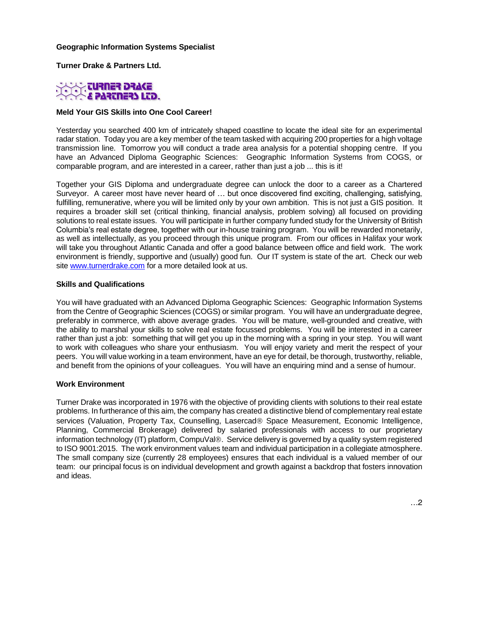#### **Geographic Information Systems Specialist**

**Turner Drake & Partners Ltd.**



#### **Meld Your GIS Skills into One Cool Career!**

Yesterday you searched 400 km of intricately shaped coastline to locate the ideal site for an experimental radar station. Today you are a key member of the team tasked with acquiring 200 properties for a high voltage transmission line. Tomorrow you will conduct a trade area analysis for a potential shopping centre. If you have an Advanced Diploma Geographic Sciences: Geographic Information Systems from COGS, or comparable program, and are interested in a career, rather than just a job ... this is it!

Together your GIS Diploma and undergraduate degree can unlock the door to a career as a Chartered Surveyor. A career most have never heard of … but once discovered find exciting, challenging, satisfying, fulfilling, remunerative, where you will be limited only by your own ambition. This is not just a GIS position. It requires a broader skill set (critical thinking, financial analysis, problem solving) all focused on providing solutions to real estate issues. You will participate in further company funded study for the University of British Columbia's real estate degree, together with our in-house training program. You will be rewarded monetarily, as well as intellectually, as you proceed through this unique program. From our offices in Halifax your work will take you throughout Atlantic Canada and offer a good balance between office and field work. The work environment is friendly, supportive and (usually) good fun. Our IT system is state of the art. Check our web site [www.turnerdrake.com](http://www.turnerdrake.com/) for a more detailed look at us.

#### **Skills and Qualifications**

You will have graduated with an Advanced Diploma Geographic Sciences: Geographic Information Systems from the Centre of Geographic Sciences (COGS) or similar program. You will have an undergraduate degree, preferably in commerce, with above average grades. You will be mature, well-grounded and creative, with the ability to marshal your skills to solve real estate focussed problems. You will be interested in a career rather than just a job: something that will get you up in the morning with a spring in your step. You will want to work with colleagues who share your enthusiasm. You will enjoy variety and merit the respect of your peers. You will value working in a team environment, have an eye for detail, be thorough, trustworthy, reliable, and benefit from the opinions of your colleagues. You will have an enquiring mind and a sense of humour.

#### **Work Environment**

Turner Drake was incorporated in 1976 with the objective of providing clients with solutions to their real estate problems. In furtherance of this aim, the company has created a distinctive blend of complementary real estate services (Valuation, Property Tax, Counselling, Lasercad<sup>®</sup> Space Measurement, Economic Intelligence, Planning, Commercial Brokerage) delivered by salaried professionals with access to our proprietary information technology (IT) platform, CompuVal®. Service delivery is governed by a quality system registered to ISO 9001:2015. The work environment values team and individual participation in a collegiate atmosphere. The small company size (currently 28 employees) ensures that each individual is a valued member of our team: our principal focus is on individual development and growth against a backdrop that fosters innovation and ideas.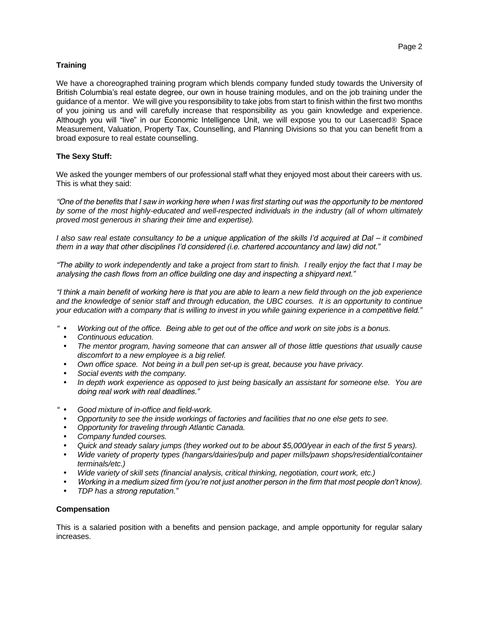# **Training**

We have a choreographed training program which blends company funded study towards the University of British Columbia's real estate degree, our own in house training modules, and on the job training under the guidance of a mentor. We will give you responsibility to take jobs from start to finish within the first two months of you joining us and will carefully increase that responsibility as you gain knowledge and experience. Although you will "live" in our Economic Intelligence Unit, we will expose you to our Lasercad<sup>®</sup> Space Measurement, Valuation, Property Tax, Counselling, and Planning Divisions so that you can benefit from a broad exposure to real estate counselling.

# **The Sexy Stuff:**

We asked the younger members of our professional staff what they enjoyed most about their careers with us. This is what they said:

*"One of the benefits that I saw in working here when I was first starting out was the opportunity to be mentored by some of the most highly-educated and well-respected individuals in the industry (all of whom ultimately proved most generous in sharing their time and expertise).*

*I also saw real estate consultancy to be a unique application of the skills I'd acquired at Dal – it combined them in a way that other disciplines I'd considered (i.e. chartered accountancy and law) did not."*

*"The ability to work independently and take a project from start to finish. I really enjoy the fact that I may be analysing the cash flows from an office building one day and inspecting a shipyard next."*

*"I think a main benefit of working here is that you are able to learn a new field through on the job experience and the knowledge of senior staff and through education, the UBC courses. It is an opportunity to continue your education with a company that is willing to invest in you while gaining experience in a competitive field."*

- *" Working out of the office. Being able to get out of the office and work on site jobs is a bonus.*
	- *Continuous education.*
	- *The mentor program, having someone that can answer all of those little questions that usually cause discomfort to a new employee is a big relief.*
	- *Own office space. Not being in a bull pen set-up is great, because you have privacy.*
	- *Social events with the company.*
	- *In depth work experience as opposed to just being basically an assistant for someone else. You are doing real work with real deadlines."*
- *" Good mixture of in-office and field-work.*
	- *Opportunity to see the inside workings of factories and facilities that no one else gets to see.*
	- *Opportunity for traveling through Atlantic Canada.*
	- *Company funded courses.*
	- *Quick and steady salary jumps (they worked out to be about \$5,000/year in each of the first 5 years).*
	- *Wide variety of property types (hangars/dairies/pulp and paper mills/pawn shops/residential/container terminals/etc.)*
	- *Wide variety of skill sets (financial analysis, critical thinking, negotiation, court work, etc.)*
	- *Working in a medium sized firm (you're not just another person in the firm that most people don't know).*
	- *TDP has a strong reputation."*

# **Compensation**

This is a salaried position with a benefits and pension package, and ample opportunity for regular salary increases.